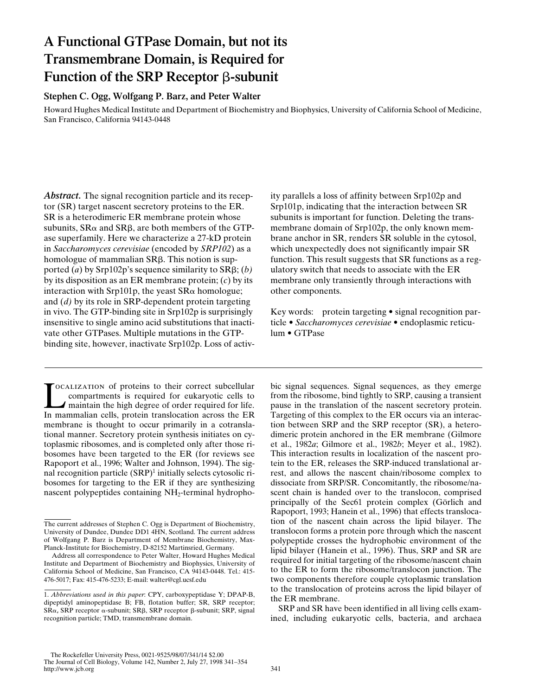# **A Functional GTPase Domain, but not its Transmembrane Domain, is Required for Function of the SRP Receptor** b**-subunit**

## **Stephen C. Ogg, Wolfgang P. Barz, and Peter Walter**

Howard Hughes Medical Institute and Department of Biochemistry and Biophysics, University of California School of Medicine, San Francisco, California 94143-0448

*Abstract.* The signal recognition particle and its receptor (SR) target nascent secretory proteins to the ER. SR is a heterodimeric ER membrane protein whose subunits,  $S R\alpha$  and  $S R\beta$ , are both members of the GTPase superfamily. Here we characterize a 27-kD protein in *Saccharomyces cerevisiae* (encoded by *SRP102*) as a homologue of mammalian  $S$ R $\beta$ . This notion is supported (*a*) by Srp102p's sequence similarity to  $SR\beta$ ; (*b*) by its disposition as an ER membrane protein; (*c*) by its interaction with Srp101p, the yeast  $SR\alpha$  homologue; and (*d)* by its role in SRP-dependent protein targeting in vivo. The GTP-binding site in Srp102p is surprisingly insensitive to single amino acid substitutions that inactivate other GTPases. Multiple mutations in the GTPbinding site, however, inactivate Srp102p. Loss of activ-

TOCALIZATION of proteins to their correct subcellular compartments is required for eukaryotic cells to maintain the high degree of order required for life.<br>In mammalian cells, protein translocation across the ER ocalization of proteins to their correct subcellular compartments is required for eukaryotic cells to maintain the high degree of order required for life. membrane is thought to occur primarily in a cotranslational manner. Secretory protein synthesis initiates on cytoplasmic ribosomes, and is completed only after those ribosomes have been targeted to the ER (for reviews see Rapoport et al., 1996; Walter and Johnson, 1994). The signal recognition particle (SRP)<sup>1</sup> initially selects cytosolic ribosomes for targeting to the ER if they are synthesizing nascent polypeptides containing NH<sub>2</sub>-terminal hydrophoity parallels a loss of affinity between Srp102p and Srp101p, indicating that the interaction between SR subunits is important for function. Deleting the transmembrane domain of Srp102p, the only known membrane anchor in SR, renders SR soluble in the cytosol, which unexpectedly does not significantly impair SR function. This result suggests that SR functions as a regulatory switch that needs to associate with the ER membrane only transiently through interactions with other components.

Key words: protein targeting • signal recognition particle • *Saccharomyces cerevisiae •* endoplasmic reticulum • GTPase

bic signal sequences. Signal sequences, as they emerge from the ribosome, bind tightly to SRP, causing a transient pause in the translation of the nascent secretory protein. Targeting of this complex to the ER occurs via an interaction between SRP and the SRP receptor (SR), a heterodimeric protein anchored in the ER membrane (Gilmore et al., 1982*a*; Gilmore et al., 1982*b*; Meyer et al., 1982). This interaction results in localization of the nascent protein to the ER, releases the SRP-induced translational arrest, and allows the nascent chain/ribosome complex to dissociate from SRP/SR. Concomitantly, the ribosome/nascent chain is handed over to the translocon, comprised principally of the Sec61 protein complex (Görlich and Rapoport, 1993; Hanein et al., 1996) that effects translocation of the nascent chain across the lipid bilayer. The translocon forms a protein pore through which the nascent polypeptide crosses the hydrophobic environment of the lipid bilayer (Hanein et al., 1996). Thus, SRP and SR are required for initial targeting of the ribosome/nascent chain to the ER to form the ribosome/translocon junction. The two components therefore couple cytoplasmic translation to the translocation of proteins across the lipid bilayer of the ER membrane.

SRP and SR have been identified in all living cells examined, including eukaryotic cells, bacteria, and archaea

The current addresses of Stephen C. Ogg is Department of Biochemistry, University of Dundee, Dundee DD1 4HN, Scotland. The current address of Wolfgang P. Barz is Department of Membrane Biochemistry, Max-Planck-Institute for Biochemistry, D-82152 Martinsried, Germany.

Address all correspondence to Peter Walter, Howard Hughes Medical Institute and Department of Biochemistry and Biophysics, University of California School of Medicine, San Francisco, CA 94143-0448. Tel.: 415- 476-5017; Fax: 415-476-5233; E-mail: walter@cgl.ucsf.edu

<sup>1.</sup> *Abbreviations used in this paper*: CPY, carboxypeptidase Y; DPAP-B, dipeptidyl aminopeptidase B; FB, flotation buffer; SR, SRP receptor; SR $\alpha$ , SRP receptor  $\alpha$ -subunit; SR $\beta$ , SRP receptor  $\beta$ -subunit; SRP, signal recognition particle; TMD, transmembrane domain.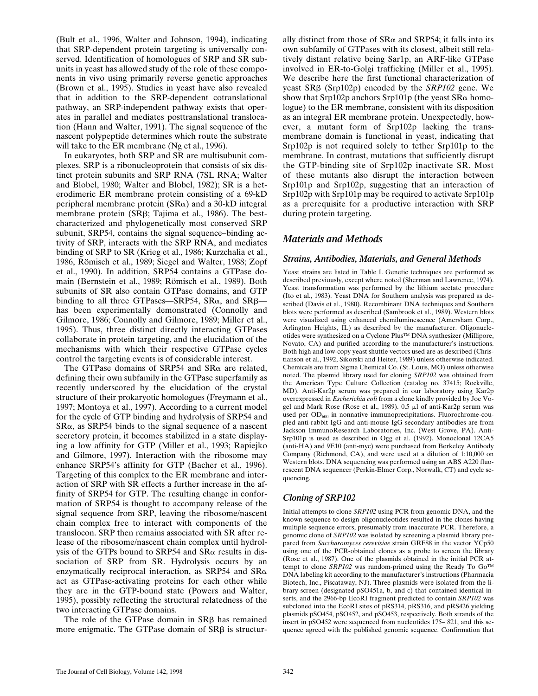(Bult et al., 1996, Walter and Johnson, 1994), indicating that SRP-dependent protein targeting is universally conserved. Identification of homologues of SRP and SR subunits in yeast has allowed study of the role of these components in vivo using primarily reverse genetic approaches (Brown et al., 1995). Studies in yeast have also revealed that in addition to the SRP-dependent cotranslational pathway, an SRP-independent pathway exists that operates in parallel and mediates posttranslational translocation (Hann and Walter, 1991). The signal sequence of the nascent polypeptide determines which route the substrate will take to the ER membrane (Ng et al., 1996).

In eukaryotes, both SRP and SR are multisubunit complexes. SRP is a ribonucleoprotein that consists of six distinct protein subunits and SRP RNA (7SL RNA; Walter and Blobel, 1980; Walter and Blobel, 1982); SR is a heterodimeric ER membrane protein consisting of a 69-kD peripheral membrane protein  $(SR\alpha)$  and a 30-kD integral membrane protein (SRB; Tajima et al., 1986). The bestcharacterized and phylogenetically most conserved SRP subunit, SRP54, contains the signal sequence–binding activity of SRP, interacts with the SRP RNA, and mediates binding of SRP to SR (Krieg et al., 1986; Kurzchalia et al., 1986, Römisch et al., 1989; Siegel and Walter, 1988; Zopf et al., 1990). In addition, SRP54 contains a GTPase domain (Bernstein et al., 1989; Römisch et al., 1989). Both subunits of SR also contain GTPase domains, and GTP binding to all three GTPases—SRP54,  $SR\alpha$ , and  $SR\beta$  has been experimentally demonstrated (Connolly and Gilmore, 1986; Connolly and Gilmore, 1989; Miller et al., 1995). Thus, three distinct directly interacting GTPases collaborate in protein targeting, and the elucidation of the mechanisms with which their respective GTPase cycles control the targeting events is of considerable interest.

The GTPase domains of SRP54 and  $S R\alpha$  are related, defining their own subfamily in the GTPase superfamily as recently underscored by the elucidation of the crystal structure of their prokaryotic homologues (Freymann et al., 1997; Montoya et al., 1997). According to a current model for the cycle of GTP binding and hydrolysis of SRP54 and  $S$ R $\alpha$ , as SRP54 binds to the signal sequence of a nascent secretory protein, it becomes stabilized in a state displaying a low affinity for GTP (Miller et al., 1993; Rapiejko and Gilmore, 1997). Interaction with the ribosome may enhance SRP54's affinity for GTP (Bacher et al., 1996). Targeting of this complex to the ER membrane and interaction of SRP with SR effects a further increase in the affinity of SRP54 for GTP. The resulting change in conformation of SRP54 is thought to accompany release of the signal sequence from SRP, leaving the ribosome/nascent chain complex free to interact with components of the translocon. SRP then remains associated with SR after release of the ribosome/nascent chain complex until hydrolysis of the GTPs bound to SRP54 and  $S R\alpha$  results in dissociation of SRP from SR. Hydrolysis occurs by an enzymatically reciprocal interaction, as SRP54 and  $S R \alpha$ act as GTPase-activating proteins for each other while they are in the GTP-bound state (Powers and Walter, 1995), possibly reflecting the structural relatedness of the two interacting GTPase domains.

The role of the GTPase domain in SRB has remained more enigmatic. The GTPase domain of  $SR\beta$  is structur-

ally distinct from those of  $SR\alpha$  and  $SRP54$ ; it falls into its own subfamily of GTPases with its closest, albeit still relatively distant relative being Sar1p, an ARF-like GTPase involved in ER-to-Golgi trafficking (Miller et al., 1995). We describe here the first functional characterization of yeast SRb (Srp102p) encoded by the *SRP102* gene. We show that  $Srp102p$  anchors  $Srp101p$  (the yeast  $SR\alpha$  homologue) to the ER membrane, consistent with its disposition as an integral ER membrane protein. Unexpectedly, however, a mutant form of Srp102p lacking the transmembrane domain is functional in yeast, indicating that Srp102p is not required solely to tether Srp101p to the membrane. In contrast, mutations that sufficiently disrupt the GTP-binding site of Srp102p inactivate SR. Most of these mutants also disrupt the interaction between Srp101p and Srp102p, suggesting that an interaction of Srp102p with Srp101p may be required to activate Srp101p as a prerequisite for a productive interaction with SRP during protein targeting.

## *Materials and Methods*

## *Strains, Antibodies, Materials, and General Methods*

Yeast strains are listed in Table I. Genetic techniques are performed as described previously, except where noted (Sherman and Lawrence, 1974). Yeast transformation was performed by the lithium acetate procedure (Ito et al., 1983). Yeast DNA for Southern analysis was prepared as described (Davis et al., 1980). Recombinant DNA techniques and Southern blots were performed as described (Sambrook et al., 1989). Western blots were visualized using enhanced chemiluminescence (Amersham Corp., Arlington Heights, IL) as described by the manufacturer. Oligonucleotides were synthesized on a Cyclone Plus™ DNA synthesizer (Millipore, Novato, CA) and purified according to the manufacturer's instructions. Both high and low-copy yeast shuttle vectors used are as described (Christianson et al., 1992, Sikorski and Heiter, 1989) unless otherwise indicated. Chemicals are from Sigma Chemical Co. (St. Louis, MO) unless otherwise noted. The plasmid library used for cloning *SRP102* was obtained from the American Type Culture Collection (catalog no. 37415; Rockville, MD). Anti-Kar2p serum was prepared in our laboratory using Kar2p overexpressed in *Escherichia coli* from a clone kindly provided by Joe Vogel and Mark Rose (Rose et al., 1989). 0.5 ml of anti-Kar2p serum was used per  $OD_{600}$  in nonnative immunoprecipitations. Fluorochrome-coupled anti-rabbit IgG and anti-mouse IgG secondary antibodies are from Jackson ImmunoResearch Laboratories, Inc. (West Grove, PA). Anti-Srp101p is used as described in Ogg et al. (1992). Monoclonal 12CA5 (anti-HA) and 9E10 (anti-myc) were purchased from Berkeley Antibody Company (Richmond, CA), and were used at a dilution of 1:10,000 on Western blots. DNA sequencing was performed using an ABS A220 fluorescent DNA sequencer (Perkin-Elmer Corp., Norwalk, CT) and cycle sequencing.

## *Cloning of SRP102*

Initial attempts to clone *SRP102* using PCR from genomic DNA, and the known sequence to design oligonucleotides resulted in the clones having multiple sequence errors, presumably from inaccurate PCR. Therefore, a genomic clone of *SRP102* was isolated by screening a plasmid library prepared from *Saccharomyces cerevisiae* strain GRF88 in the vector YCp50 using one of the PCR-obtained clones as a probe to screen the library (Rose et al., 1987). One of the plasmids obtained in the initial PCR attempt to clone *SRP102* was random-primed using the Ready To Go™ DNA labeling kit according to the manufacturer's instructions (Pharmacia Biotech, Inc., Piscataway, NJ). Three plasmids were isolated from the library screen (designated pSO451a, b, and c) that contained identical inserts, and the 2966-bp EcoRI fragment predicted to contain *SRP102* was subcloned into the EcoRI sites of pRS314, pRS316, and pRS426 yielding plasmids pSO454, pSO452, and pSO453, respectively. Both strands of the insert in pSO452 were sequenced from nucleotides 175– 821, and this sequence agreed with the published genomic sequence. Confirmation that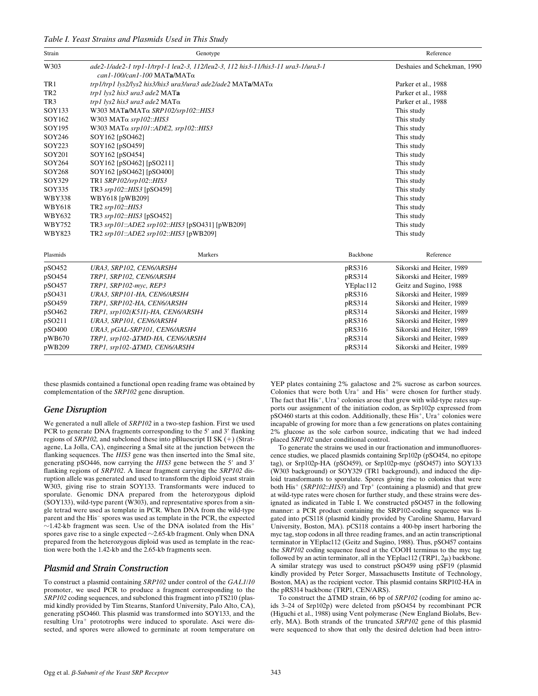*Table I. Yeast Strains and Plasmids Used in This Study*

| Strain          | Genotype                                                                                                                     | Reference                   |                           |
|-----------------|------------------------------------------------------------------------------------------------------------------------------|-----------------------------|---------------------------|
| W303            | ade2-1/ade2-1 trp1-1/trp1-1 leu2-3, 112/leu2-3, 112 his3-11/his3-11 ura3-1/ura3-1<br>$can 1-100/can 1-100$ MATa/MAT $\alpha$ | Deshaies and Schekman, 1990 |                           |
| TR1             | trp1/trp1 lys2/lys2 his3/his3 ura3/ura3 ade2/ade2 MATa/MATo                                                                  |                             | Parker et al., 1988       |
| TR <sub>2</sub> | trp1 lys2 his3 ura3 ade2 MATa                                                                                                |                             | Parker et al., 1988       |
| TR <sub>3</sub> | trp1 lys2 his3 ura3 ade2 MATα                                                                                                |                             | Parker et al., 1988       |
| SOY133          | W303 MATa/MATα SRP102/srp102:: HIS3                                                                                          |                             | This study                |
| SOY162          | W303 MATα srp102:: HIS3                                                                                                      |                             | This study                |
| SOY195          | W303 MATα srp101::ADE2, srp102::HIS3                                                                                         |                             | This study                |
| SOY246          | SOY162 [pSO462]                                                                                                              |                             | This study                |
| SOY223          | SOY162 [pSO459]                                                                                                              |                             | This study                |
| SOY201          | SOY162 [pSO454]                                                                                                              |                             | This study                |
| SOY264          | SOY162 [pSO462] [pSO211]                                                                                                     |                             | This study                |
| SOY268          | SOY162 [pSO462] [pSO400]                                                                                                     |                             | This study                |
| SOY329          | TR1 SRP102/srp102::HIS3                                                                                                      |                             | This study                |
| SOY335          | TR3 srp102::HIS3 [pSO459]                                                                                                    |                             | This study                |
| <b>WBY338</b>   | WBY618 [pWB209]                                                                                                              |                             | This study                |
| <b>WBY618</b>   | TR2 srp102::HIS3                                                                                                             |                             | This study                |
| <b>WBY632</b>   | TR3 srp102::HIS3 [pSO452]                                                                                                    |                             | This study                |
| <b>WBY752</b>   | TR3 srp101::ADE2 srp102::HIS3 [pSO431] [pWB209]                                                                              |                             | This study                |
| <b>WBY823</b>   | TR2 srp101::ADE2 srp102::HIS3 [pWB209]                                                                                       |                             | This study                |
| Plasmids        | Markers                                                                                                                      | Backbone                    | Reference                 |
| pSO452          | URA3, SRP102, CEN6/ARSH4                                                                                                     | pRS316                      | Sikorski and Heiter, 1989 |
| pSO454          | TRP1, SRP102, CEN6/ARSH4                                                                                                     | pRS314                      | Sikorski and Heiter, 1989 |
| pSO457          | TRP1, SRP102-myc, REP3                                                                                                       | YEplac112                   | Geitz and Sugino, 1988    |
| pSO431          | URA3, SRP101-HA, CEN6/ARSH4                                                                                                  | pRS316                      | Sikorski and Heiter, 1989 |
| pSO459          | TRP1, SRP102-HA, CEN6/ARSH4                                                                                                  | pRS314                      | Sikorski and Heiter, 1989 |
| pSO462          | TRP1, srp102(K511)-HA, CEN6/ARSH4                                                                                            | pRS314                      | Sikorski and Heiter, 1989 |
| pSO211          | URA3, SRP101, CEN6/ARSH4                                                                                                     | pRS316                      | Sikorski and Heiter, 1989 |
| pSO400          | URA3, pGAL-SRP101, CEN6/ARSH4                                                                                                | pRS316                      | Sikorski and Heiter, 1989 |
| pWB670          | TRP1, srp102- $\Delta TMD$ -HA, CEN6/ARSH4                                                                                   | pRS314                      | Sikorski and Heiter, 1989 |
| pWB209          | TRP1, srp102- $\triangle TMD$ , CEN6/ARSH4                                                                                   | pRS314                      | Sikorski and Heiter, 1989 |

these plasmids contained a functional open reading frame was obtained by complementation of the *SRP102* gene disruption.

#### *Gene Disruption*

We generated a null allele of *SRP102* in a two-step fashion. First we used PCR to generate DNA fragments corresponding to the 5' and 3' flanking regions of *SRP102*, and subcloned these into pBluescript II SK (+) (Stratagene, La Jolla, CA), engineering a SmaI site at the junction between the flanking sequences. The *HIS3* gene was then inserted into the SmaI site, generating pSO446, now carrying the HIS3 gene between the 5' and 3' flanking regions of *SRP102*. A linear fragment carrying the *SRP102* disruption allele was generated and used to transform the diploid yeast strain W303, giving rise to strain SOY133. Transformants were induced to sporulate. Genomic DNA prepared from the heterozygous diploid (SOY133), wild-type parent (W303), and representative spores from a single tetrad were used as template in PCR. When DNA from the wild-type parent and the His<sup>-</sup> spores was used as template in the PCR, the expected  $\sim$ 1.42-kb fragment was seen. Use of the DNA isolated from the His<sup>+</sup> spores gave rise to a single expected  $\sim$ 2.65-kb fragment. Only when DNA prepared from the heterozygous diploid was used as template in the reaction were both the 1.42-kb and the 2.65-kb fragments seen.

#### *Plasmid and Strain Construction*

To construct a plasmid containing *SRP102* under control of the *GAL1*/*10* promoter, we used PCR to produce a fragment corresponding to the *SRP102* coding sequences, and subcloned this fragment into pTS210 (plasmid kindly provided by Tim Stearns, Stanford University, Palo Alto, CA), generating pSO460. This plasmid was transformed into SOY133, and the resulting Ura<sup>+</sup> prototrophs were induced to sporulate. Asci were dissected, and spores were allowed to germinate at room temperature on YEP plates containing 2% galactose and 2% sucrose as carbon sources. Colonies that were both  $Ura^+$  and  $His^+$  were chosen for further study. The fact that  $His^+$ . Ura<sup>+</sup> colonies arose that grew with wild-type rates supports our assignment of the initiation codon, as Srp102p expressed from  $_{\rm p}$ SO460 starts at this codon. Additionally, these His<sup>+</sup>, Ura<sup>+</sup> colonies were incapable of growing for more than a few generations on plates containing 2% glucose as the sole carbon source, indicating that we had indeed placed *SRP102* under conditional control.

To generate the strains we used in our fractionation and immunofluorescence studies, we placed plasmids containing Srp102p (pSO454, no epitope tag), or Srp102p-HA (pSO459), or Srp102p-myc (pSO457) into SOY133 (W303 background) or SOY329 (TR1 background), and induced the diploid transformants to sporulate. Spores giving rise to colonies that were both His<sup>+</sup> (*SRP102*::*HIS3*) and  $Trp$ <sup>+</sup> (containing a plasmid) and that grew at wild-type rates were chosen for further study, and these strains were designated as indicated in Table I. We constructed pSO457 in the following manner: a PCR product containing the SRP102-coding sequence was ligated into pCS118 (plasmid kindly provided by Caroline Shamu, Harvard University, Boston, MA). pCS118 contains a 400-bp insert harboring the myc tag, stop codons in all three reading frames, and an actin transcriptional terminator in YEplac112 (Geitz and Sugino, 1988). Thus, pSO457 contains the *SRP102* coding sequence fused at the COOH terminus to the myc tag followed by an actin terminator, all in the YEplac112 (TRP1,  $2\mu$ ) backbone. A similar strategy was used to construct pSO459 using pSF19 (plasmid kindly provided by Peter Sorger, Massachusetts Institute of Technology, Boston, MA) as the recipient vector. This plasmid contains SRP102-HA in the pRS314 backbone (TRP1, CEN/ARS).

To construct the  $\triangle TMD$  strain, 66 bp of *SRP102* (coding for amino acids 3–24 of Srp102p) were deleted from pSO454 by recombinant PCR (Higuchi et al., 1988) using Vent polymerase (New England Biolabs, Beverly, MA). Both strands of the truncated *SRP102* gene of this plasmid were sequenced to show that only the desired deletion had been intro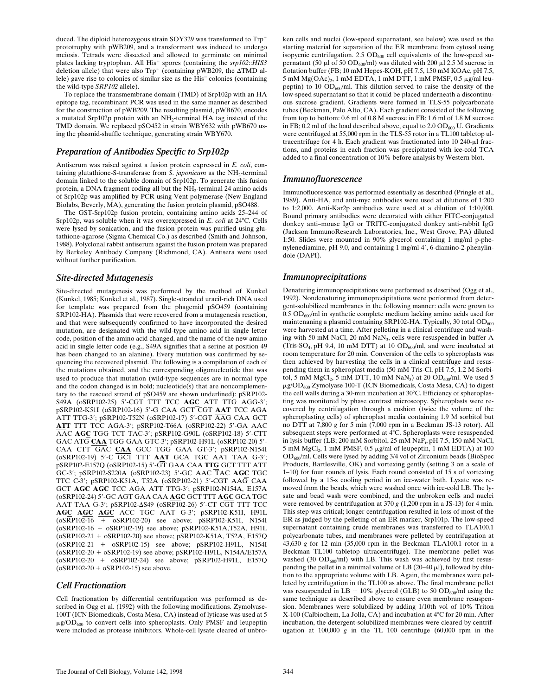duced. The diploid heterozygous strain SOY329 was transformed to Trp<sup>+</sup> prototrophy with pWB209, and a transformant was induced to undergo meiosis. Tetrads were dissected and allowed to germinate on minimal plates lacking tryptophan. All His<sup>+</sup> spores (containing the  $srp102::HIS3$ deletion allele) that were also  $Trp^{+}$  (containing pWB209, the  $\Delta TMD$  allele) gave rise to colonies of similar size as the His<sup>-</sup>colonies (containing the wild-type *SRP102* allele).

To replace the transmembrane domain (TMD) of Srp102p with an HA epitope tag, recombinant PCR was used in the same manner as described for the construction of pWB209. The resulting plasmid, pWB670, encodes a mutated Srp102p protein with an NH<sub>2</sub>-terminal HA tag instead of the TMD domain. We replaced pSO452 in strain WBY632 with pWB670 using the plasmid-shuffle technique, generating strain WBY670.

## *Preparation of Antibodies Specific to Srp102p*

Antiserum was raised against a fusion protein expressed in *E. coli*, containing glutathione-S-transferase from *S. japonicum* as the NH<sub>2</sub>-terminal domain linked to the soluble domain of Srp102p. To generate this fusion protein, a DNA fragment coding all but the  $NH<sub>2</sub>$ -terminal 24 amino acids of Srp102p was amplified by PCR using Vent polymerase (New England Biolabs, Beverly, MA), generating the fusion protein plasmid, pSO488.

The GST-Srp102p fusion protein, containing amino acids 25–244 of Srp102p, was soluble when it was overexpressed in *E. coli* at 24°C. Cells were lysed by sonication, and the fusion protein was purified using glutathione-agarose (Sigma Chemical Co.) as described (Smith and Johnson, 1988). Polyclonal rabbit antiserum against the fusion protein was prepared by Berkeley Antibody Company (Richmond, CA). Antisera were used without further purification.

## *Site-directed Mutagenesis*

Site-directed mutagenesis was performed by the method of Kunkel (Kunkel, 1985; Kunkel et al., 1987). Single-stranded uracil-rich DNA used for template was prepared from the phagemid pSO459 (containing SRP102-HA). Plasmids that were recovered from a mutagenesis reaction, and that were subsequently confirmed to have incorporated the desired mutation, are designated with the wild-type amino acid in single letter code, position of the amino acid changed, and the name of the new amino acid in single letter code (e.g., S49A signifies that a serine at position 49 has been changed to an alanine). Every mutation was confirmed by sequencing the recovered plasmid. The following is a compilation of each of the mutations obtained, and the corresponding oligonucleotide that was used to produce that mutation (wild-type sequences are in normal type and the codon changed is in bold; nucleotide(s) that are noncomplementary to the rescued strand of pSO459 are shown underlined): pSRP102- S49A (oSRP102-25) 5'-CGT TTT TCC AGC ATT TTG AGG-3'; pSRP102-K51I (oSRP102-16) 59-G CAA GCT CGT **AAT** TCC AGA ATT TTG-3'; pSRP102-T52N (oSRP102-17) 5'-CGT AAG CAA GCT ATT TTT TCC AGA-3'; pSRP102-T66A (oSRP102-22) 5'-GA AAC AAC AGC TGG TCT TAC-3'; pSRP102-G90L (oSRP102-18) 5'-CTT GAC ATG CAA TGG GAA GTC-3'; pSRP102-H91L (oSRP102-20) 5'-CAA CTT GAC CAA GCC TGG GAA GT-3'; pSRP102-N154I (oSRP102-19) 5'-C GCT TTT AAT GCA TGC AAT TAA G-3'; pSRP102-E157Q (oSRP102-15) 59-GT GAA CAA **TTG** GCT TTT ATT GC-3'; pSRP102-S220A (oSRP102-23) 5'-GC AAC TAC AGC TGC TTC  $C-3'$ ; pSRP102-K51A, T52A (oSRP102-21) 5'-CGT AAG CAA GCT AGC AGC TCC AGA ATT TTG-3'; pSRP102-N154A, E157A (oSRP102-24) 59-GC AGT GAA CAA **AGC** GCT TTT **AGC** GCA TGC AAT TAA G-3'; pSRP102-4S49 (oSRP102-26) 5'-CT CGT TTT TCC AGC AGC AGC ACC TGC AAT G-3'; pSRP102-K51I, H91L  $(0$ SRP102-16 +  $0$ SRP102-20) see above; pSRP102-K51I, N154I (oSRP102-16 + oSRP102-19) see above; pSRP102-K51A,T52A, H91L (oSRP102-21 + oSRP102-20) see above; pSRP102-K51A, T52A, E157Q (oSRP102-21 + oSRP102-15) see above; pSRP102-H91L, N154I (oSRP102-20 + oSRP102-19) see above; pSRP102-H91L, N154A/E157A (oSRP102-20 + oSRP102-24) see above; pSRP102-H91L, E157Q  $(6$ SRP102-20 +  $6$ SRP102-15) see above.

## *Cell Fractionation*

Cell fractionation by differential centrifugation was performed as described in Ogg et al. (1992) with the following modifications. Zymolyase-100T (ICN Biomedicals, Costa Mesa, CA) instead of lyticase was used at 5  $\mu$ g/OD<sub>600</sub> to convert cells into spheroplasts. Only PMSF and leupeptin were included as protease inhibitors. Whole-cell lysate cleared of unbroken cells and nuclei (low-speed supernatant, see below) was used as the starting material for separation of the ER membrane from cytosol using isopycnic centrifugation. 2.5  $OD<sub>600</sub>$  cell equivalents of the low-speed supernatant (50  $\mu$ l of 50 OD<sub>600</sub>/ml) was diluted with 200  $\mu$ l 2.5 M sucrose in flotation buffer (FB; 10 mM Hepes-KOH, pH 7.5, 150 mM KOAc, pH 7.5, 5 mM  $Mg(OAc)_{2}$ , 1 mM EDTA, 1 mM DTT, 1 mM PMSF, 0.5  $\mu$ g/ml leupeptin) to 10  $OD<sub>600</sub>/ml$ . This dilution served to raise the density of the low-speed supernatant so that it could be placed underneath a discontinuous sucrose gradient. Gradients were formed in TLS-55 polycarbonate tubes (Beckman, Palo Alto, CA). Each gradient consisted of the following from top to bottom: 0.6 ml of 0.8 M sucrose in FB; 1.6 ml of 1.8 M sucrose in FB; 0.2 ml of the load described above, equal to  $2.0 \text{ OD}_{600}$  U. Gradients were centrifuged at 55,000 rpm in the TLS-55 rotor in a TL100 tabletop ultracentrifuge for 4 h. Each gradient was fractionated into 10 240-µl fractions, and proteins in each fraction was precipitated with ice-cold TCA added to a final concentration of 10% before analysis by Western blot.

## *Immunofluorescence*

Immunofluorescence was performed essentially as described (Pringle et al., 1989). Anti-HA, and anti-myc antibodies were used at dilutions of 1:200 to 1:2,000. Anti-Kar2p antibodies were used at a dilution of 1:10,000. Bound primary antibodies were decorated with either FITC-conjugated donkey anti–mouse IgG or TRITC-conjugated donkey anti–rabbit IgG (Jackson ImmunoResearch Laboratories, Inc., West Grove, PA) diluted 1:50. Slides were mounted in 90% glycerol containing 1 mg/ml p-phenylenediamine, pH 9.0, and containing 1 mg/ml 4', 6-diamino-2-phenylindole (DAPI).

## *Immunoprecipitations*

Denaturing immunoprecipitations were performed as described (Ogg et al., 1992). Nondenaturing immunoprecipitations were performed from detergent-solubilized membranes in the following manner: cells were grown to  $0.5$  OD<sub>600</sub>/ml in synthetic complete medium lacking amino acids used for maintenaning a plasmid containing SRP102-HA. Typically, 30 total  $OD_{600}$ were harvested at a time. After pelleting in a clinical centrifuge and washing with 50 mM NaCl, 20 mM NaN<sub>3</sub>, cells were resuspended in buffer A (Tris-SO<sub>4</sub>, pH 9.4, 10 mM DTT) at 10  $OD<sub>600</sub>/ml$ , and were incubated at room temperature for 20 min. Conversion of the cells to spheroplasts was then achieved by harvesting the cells in a clinical centrifuge and resuspending them in spheroplast media (50 mM Tris-Cl, pH 7.5, 1.2 M Sorbitol, 5 mM  $MgCl<sub>2</sub>$ , 5 mM DTT, 10 mM  $NaN<sub>3</sub>$ ) at 20 OD<sub>600</sub>/ml. We used 5 mg/OD600 Zymolyase 100-T (ICN Biomedicals, Costa Mesa, CA) to digest the cell walls during a 30-min incubation at  $30^{\circ}$ C. Efficiency of spheroplasting was monitored by phase contrast microscopy. Spheroplasts were recovered by centrifugation through a cushion (twice the volume of the spheroplasting cells) of spheroplast media containing 1.9 M sorbitol but no DTT at 7,800 *g* for 5 min (7,000 rpm in a Beckman JS-13 rotor). All subsequent steps were performed at 4°C. Spheroplasts were resuspended in lysis buffer (LB; 200 mM Sorbitol, 25 mM NaPi , pH 7.5, 150 mM NaCl, 5 mM  $MgCl<sub>2</sub>$ , 1 mM PMSF, 0.5  $\mu g/ml$  of leupeptin, 1 mM EDTA) at 100 OD600/ml. Cells were lysed by adding 3/4 vol of Zirconium beads (BioSpec Products, Bartlesville, OK) and vortexing gently (setting 3 on a scale of 1–10) for four rounds of lysis. Each round consisted of 15 s of vortexing followed by a 15-s cooling period in an ice-water bath. Lysate was removed from the beads, which were washed once with ice-cold LB. The lysate and bead wash were combined, and the unbroken cells and nuclei were removed by centrifugation at 370 *g* (1,200 rpm in a JS-13) for 4 min. This step was critical; longer centrifugation resulted in loss of most of the ER as judged by the pelleting of an ER marker, Srp101p. The low-speed supernatant containing crude membranes was transferred to TLA100.1 polycarbonate tubes, and membranes were pelleted by centrifugation at 43,630 *g* for 12 min (35,000 rpm in the Beckman TLA100.1 rotor in a Beckman TL100 tabletop ultracentrifuge). The membrane pellet was washed (30  $OD<sub>600</sub>/ml$ ) with LB. This wash was achieved by first resuspending the pellet in a minimal volume of LB  $(20-40 \mu l)$ , followed by dilution to the appropriate volume with LB. Again, the membranes were pelleted by centrifugation in the TL100 as above. The final membrane pellet was resuspended in LB + 10% glycerol (GLB) to 50 OD<sub>600</sub>/ml using the same technique as described above to ensure even membrane resuspension. Membranes were solubilized by adding 1/10th vol of 10% Triton X-100 (Calbiochem, La Jolla, CA) and incubation at 4°C for 20 min. After incubation, the detergent-solubilized membranes were cleared by centrifugation at 100,000 *g* in the TL 100 centrifuge (60,000 rpm in the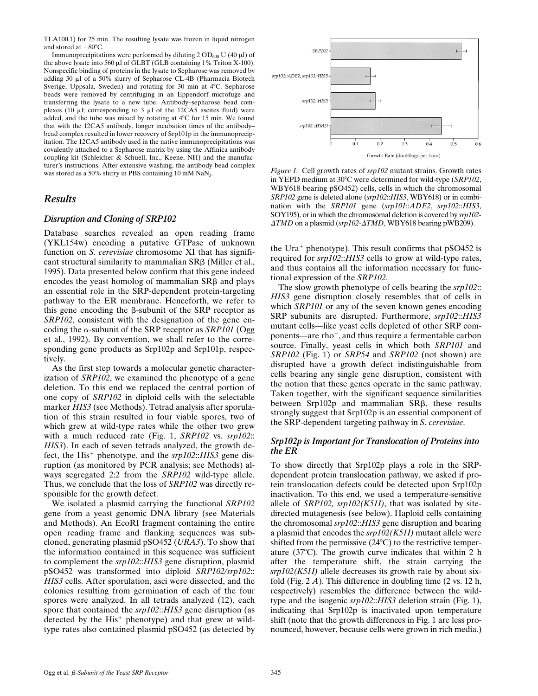TLA100.1) for 25 min. The resulting lysate was frozen in liquid nitrogen and stored at  $-80^{\circ}$ C.

Immunoprecipitations were performed by diluting  $2 OD_{600} U (40 \mu I)$  of the above lysate into 560  $\mu$ l of GLBT (GLB containing 1% Triton X-100). Nonspecific binding of proteins in the lysate to Sepharose was removed by adding 30 µl of a 50% slurry of Sepharose CL-4B (Pharmacia Biotech Sverige, Uppsala, Sweden) and rotating for 30 min at 4°C. Sepharose beads were removed by centrifuging in an Eppendorf microfuge and transferring the lysate to a new tube. Antibody–sepharose bead complexes (10  $\mu$ l; corresponding to 3  $\mu$ l of the 12CA5 ascites fluid) were added, and the tube was mixed by rotating at  $4^{\circ}$ C for 15 min. We found that with the 12CA5 antibody, longer incubation times of the antibody– bead complex resulted in lower recovery of Srp101p in the immunoprecipitation. The 12CA5 antibody used in the native immunoprecipitations was covalently attached to a Sepharose matrix by using the Affinica antibody coupling kit (Schleicher & Schuell, Inc., Keene, NH) and the manufacturer's instructions. After extensive washing, the antibody bead complex was stored as a 50% slurry in PBS containing 10 mM NaN<sub>3</sub>.

## *Results*

## *Disruption and Cloning of SRP102*

Database searches revealed an open reading frame (YKL154w) encoding a putative GTPase of unknown function on *S*. *cerevisiae* chromosome XI that has significant structural similarity to mammalian  $SR\beta$  (Miller et al., 1995). Data presented below confirm that this gene indeed encodes the yeast homolog of mammalian  $SR\beta$  and plays an essential role in the SRP-dependent protein-targeting pathway to the ER membrane. Henceforth, we refer to this gene encoding the  $\beta$ -subunit of the SRP receptor as *SRP102*, consistent with the designation of the gene encoding the  $\alpha$ -subunit of the SRP receptor as *SRP101* (Ogg et al., 1992). By convention, we shall refer to the corresponding gene products as Srp102p and Srp101p, respectively.

As the first step towards a molecular genetic characterization of *SRP102*, we examined the phenotype of a gene deletion. To this end we replaced the central portion of one copy of *SRP102* in diploid cells with the selectable marker *HIS3* (see Methods). Tetrad analysis after sporulation of this strain resulted in four viable spores, two of which grew at wild-type rates while the other two grew with a much reduced rate (Fig. 1, *SRP102* vs. *srp102*:: *HIS3*). In each of seven tetrads analyzed, the growth defect, the His<sup>+</sup> phenotype, and the *srp102*::*HIS3* gene disruption (as monitored by PCR analysis; see Methods) always segregated 2:2 from the *SRP102* wild-type allele. Thus, we conclude that the loss of *SRP102* was directly responsible for the growth defect.

We isolated a plasmid carrying the functional *SRP102* gene from a yeast genomic DNA library (see Materials and Methods). An EcoRI fragment containing the entire open reading frame and flanking sequences was subcloned, generating plasmid pSO452 (*URA3*). To show that the information contained in this sequence was sufficient to complement the *srp102*::*HIS3* gene disruption, plasmid pSO452 was transformed into diploid *SRP102/srp102*:: *HIS3* cells. After sporulation, asci were dissected, and the colonies resulting from germination of each of the four spores were analyzed. In all tetrads analyzed (12), each spore that contained the *srp102*::*HIS3* gene disruption (as detected by the  $His<sup>+</sup>$  phenotype) and that grew at wildtype rates also contained plasmid pSO452 (as detected by



*Figure 1.* Cell growth rates of *srp102* mutant strains. Growth rates in YEPD medium at 30°C were determined for wild-type (*SRP102*, WBY618 bearing pSO452) cells, cells in which the chromosomal *SRP102* gene is deleted alone (*srp102*::*HIS3*, WBY618) or in combination with the *SRP101* gene (*srp101*::*ADE2*, *srp102*::*HIS3*, SOY195), or in which the chromosomal deletion is covered by *srp102-*  $\triangle TMD$  on a plasmid (*srp102-* $\triangle TMD$ , WBY618 bearing pWB209).

the Ura<sup>+</sup> phenotype). This result confirms that  $pSO452$  is required for *srp102*::*HIS3* cells to grow at wild-type rates, and thus contains all the information necessary for functional expression of the *SRP102*.

The slow growth phenotype of cells bearing the *srp102*:: *HIS3* gene disruption closely resembles that of cells in which *SRP101* or any of the seven known genes encoding SRP subunits are disrupted. Furthermore, *srp102*::*HIS3* mutant cells—like yeast cells depleted of other SRP components—are rho<sup>-</sup>, and thus require a fermentable carbon source. Finally, yeast cells in which both *SRP101* and *SRP102* (Fig. 1) or *SRP54* and *SRP102* (not shown) are disrupted have a growth defect indistinguishable from cells bearing any single gene disruption, consistent with the notion that these genes operate in the same pathway. Taken together, with the significant sequence similarities between  $Srp102p$  and mammalian  $SR\beta$ , these results strongly suggest that Srp102p is an essential component of the SRP-dependent targeting pathway in *S*. *cerevisiae*.

## *Srp102p is Important for Translocation of Proteins into the ER*

To show directly that Srp102p plays a role in the SRPdependent protein translocation pathway, we asked if protein translocation defects could be detected upon Srp102p inactivation. To this end, we used a temperature-sensitive allele of *SRP102, srp102(K51I)*, that was isolated by sitedirected mutagenesis (see below). Haploid cells containing the chromosomal *srp102*::*HIS3* gene disruption and bearing a plasmid that encodes the *srp102(K51I)* mutant allele were shifted from the permissive  $(24^{\circ}C)$  to the restrictive temperature  $(37^{\circ}$ C). The growth curve indicates that within 2 h after the temperature shift, the strain carrying the *srp102(K51I)* allele decreases its growth rate by about sixfold (Fig. 2 *A*). This difference in doubling time (2 vs. 12 h, respectively) resembles the difference between the wildtype and the isogenic *srp102*::*HIS3* deletion strain (Fig. 1), indicating that Srp102p is inactivated upon temperature shift (note that the growth differences in Fig. 1 are less pronounced, however, because cells were grown in rich media.)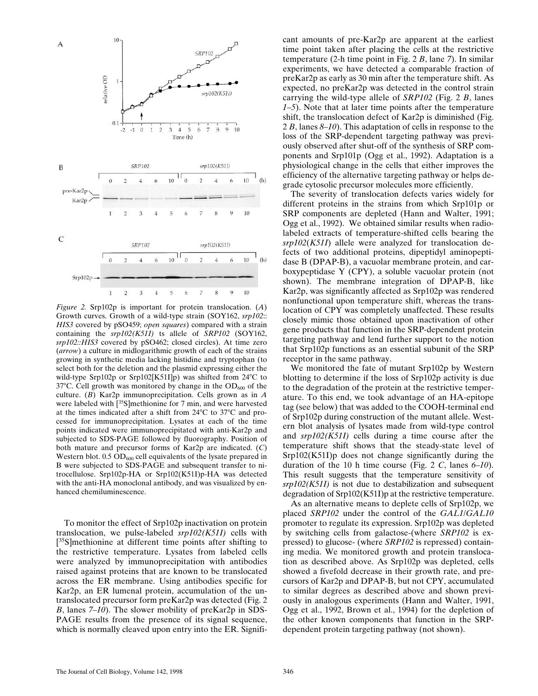

*Figure 2.* Srp102p is important for protein translocation. (*A*) Growth curves. Growth of a wild-type strain (SOY162, *srp102*:: *HIS3* covered by pSO459; *open squares*) compared with a strain containing the *srp102(K51I)* ts allele of *SRP102* (SOY162, *srp102::HIS3* covered by pSO462; closed circles). At time zero (*arrow*) a culture in midlogarithmic growth of each of the strains growing in synthetic media lacking histidine and tryptophan (to select both for the deletion and the plasmid expressing either the wild-type Srp102p or Srp102[K51I]p) was shifted from  $24^{\circ}$ C to 37 $^{\circ}$ C. Cell growth was monitored by change in the OD<sub>600</sub> of the culture. (*B*) Kar2p immunoprecipitation. Cells grown as in *A* were labeled with [<sup>35</sup>S]methionine for 7 min, and were harvested at the times indicated after a shift from  $24^{\circ}$ C to  $37^{\circ}$ C and processed for immunoprecipitation. Lysates at each of the time points indicated were immunoprecipitated with anti-Kar2p and subjected to SDS-PAGE followed by fluorography. Position of both mature and precursor forms of Kar2p are indicated. (*C*) Western blot.  $0.5 \text{ OD}_{600}$  cell equivalents of the lysate prepared in B were subjected to SDS-PAGE and subsequent transfer to nitrocellulose. Srp102p-HA or Srp102(K51I)p-HA was detected with the anti-HA monoclonal antibody, and was visualized by enhanced chemiluminescence.

To monitor the effect of Srp102p inactivation on protein translocation, we pulse-labeled *srp102(K51I)* cells with [<sup>35</sup>S]methionine at different time points after shifting to the restrictive temperature. Lysates from labeled cells were analyzed by immunoprecipitation with antibodies raised against proteins that are known to be translocated across the ER membrane. Using antibodies specific for Kar2p, an ER lumenal protein, accumulation of the untranslocated precursor form preKar2p was detected (Fig. 2 *B*, lanes *7*–*10*). The slower mobility of preKar2p in SDS-PAGE results from the presence of its signal sequence, which is normally cleaved upon entry into the ER. Significant amounts of pre-Kar2p are apparent at the earliest time point taken after placing the cells at the restrictive temperature (2-h time point in Fig. 2 *B*, lane *7*). In similar experiments, we have detected a comparable fraction of preKar2p as early as 30 min after the temperature shift. As expected, no preKar2p was detected in the control strain carrying the wild-type allele of *SRP102* (Fig. 2 *B*, lanes *1*–*5*). Note that at later time points after the temperature shift, the translocation defect of Kar2p is diminished (Fig. 2 *B*, lanes *8*–*10*). This adaptation of cells in response to the loss of the SRP-dependent targeting pathway was previously observed after shut-off of the synthesis of SRP components and Srp101p (Ogg et al., 1992). Adaptation is a physiological change in the cells that either improves the efficiency of the alternative targeting pathway or helps degrade cytosolic precursor molecules more efficiently.

The severity of translocation defects varies widely for different proteins in the strains from which Srp101p or SRP components are depleted (Hann and Walter, 1991; Ogg et al., 1992). We obtained similar results when radiolabeled extracts of temperature-shifted cells bearing the *srp102*(*K51I*) allele were analyzed for translocation defects of two additional proteins, dipeptidyl aminopeptidase B (DPAP-B), a vacuolar membrane protein, and carboxypeptidase Y (CPY), a soluble vacuolar protein (not shown). The membrane integration of DPAP-B, like Kar2p, was significantly affected as Srp102p was rendered nonfunctional upon temperature shift, whereas the translocation of CPY was completely unaffected. These results closely mimic those obtained upon inactivation of other gene products that function in the SRP-dependent protein targeting pathway and lend further support to the notion that Srp102p functions as an essential subunit of the SRP receptor in the same pathway.

We monitored the fate of mutant Srp102p by Western blotting to determine if the loss of Srp102p activity is due to the degradation of the protein at the restrictive temperature. To this end, we took advantage of an HA-epitope tag (see below) that was added to the COOH-terminal end of Srp102p during construction of the mutant allele. Western blot analysis of lysates made from wild-type control and *srp102(K51I)* cells during a time course after the temperature shift shows that the steady-state level of Srp102(K51I)p does not change significantly during the duration of the 10 h time course (Fig. 2 *C*, lanes *6*–*10*). This result suggests that the temperature sensitivity of *srp102(K51I)* is not due to destabilization and subsequent degradation of Srp102(K51I)p at the restrictive temperature.

As an alternative means to deplete cells of Srp102p, we placed *SRP102* under the control of the *GAL1*/*GAL10* promoter to regulate its expression. Srp102p was depleted by switching cells from galactose-(where *SRP102* is expressed) to glucose- (where *SRP102* is repressed) containing media. We monitored growth and protein translocation as described above. As Srp102p was depleted, cells showed a fivefold decrease in their growth rate, and precursors of Kar2p and DPAP-B, but not CPY, accumulated to similar degrees as described above and shown previously in analogous experiments (Hann and Walter, 1991, Ogg et al., 1992, Brown et al., 1994) for the depletion of the other known components that function in the SRPdependent protein targeting pathway (not shown).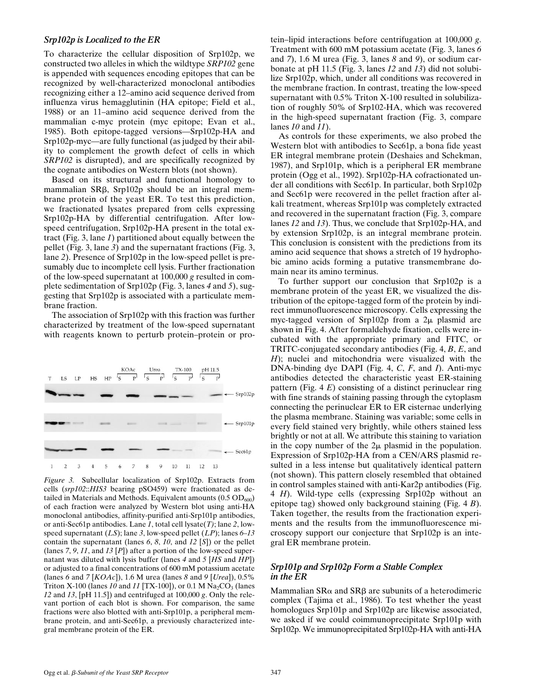#### *Srp102p is Localized to the ER*

To characterize the cellular disposition of Srp102p, we constructed two alleles in which the wildtype *SRP102* gene is appended with sequences encoding epitopes that can be recognized by well-characterized monoclonal antibodies recognizing either a 12–amino acid sequence derived from influenza virus hemagglutinin (HA epitope; Field et al., 1988) or an 11–amino acid sequence derived from the mammalian c-myc protein (myc epitope; Evan et al., 1985). Both epitope-tagged versions—Srp102p-HA and Srp102p-myc—are fully functional (as judged by their ability to complement the growth defect of cells in which *SRP102* is disrupted), and are specifically recognized by the cognate antibodies on Western blots (not shown).

Based on its structural and functional homology to mammalian SRB, Srp102p should be an integral membrane protein of the yeast ER. To test this prediction, we fractionated lysates prepared from cells expressing Srp102p-HA by differential centrifugation. After lowspeed centrifugation, Srp102p-HA present in the total extract (Fig. 3, lane *1*) partitioned about equally between the pellet (Fig. 3, lane *3*) and the supernatant fractions (Fig. 3, lane *2*). Presence of Srp102p in the low-speed pellet is presumably due to incomplete cell lysis. Further fractionation of the low-speed supernatant at 100,000 *g* resulted in complete sedimentation of Srp102p (Fig. 3, lanes *4* and *5*), suggesting that Srp102p is associated with a particulate membrane fraction.

The association of Srp102p with this fraction was further characterized by treatment of the low-speed supernatant with reagents known to perturb protein–protein or pro-



*Figure 3.* Subcellular localization of Srp102p. Extracts from cells (*srp102*::*HIS3* bearing pSO459) were fractionated as detailed in Materials and Methods. Equivalent amounts  $(0.5 \text{ OD}_{600})$ of each fraction were analyzed by Western blot using anti-HA monoclonal antibodies, affinity-purified anti-Srp101p antibodies, or anti-Sec61p antibodies. Lane *1*, total cell lysate(*T)*; lane *2*, lowspeed supernatant (*LS*); lane *3*, low-speed pellet (*LP*); lanes *6*–*13* contain the supernatant (lanes *6*, *8*, *10*, and *12* [*S*]) or the pellet (lanes *7*, *9*, *11*, and *13* [*P*]) after a portion of the low-speed supernatant was diluted with lysis buffer (lanes *4* and *5* [*HS* and *HP*]) or adjusted to a final concentrations of 600 mM potassium acetate (lanes *6* and *7* [*KOAc*]), 1.6 M urea (lanes *8* and *9* [*Urea*]), 0.5% Triton X-100 (lanes  $10$  and  $11$  [TX-100]), or 0.1 M  $\text{Na}_2\text{CO}_3$  (lanes *12* and *13*, [pH 11.5]) and centrifuged at 100,000 *g*. Only the relevant portion of each blot is shown. For comparison, the same fractions were also blotted with anti-Srp101p, a peripheral membrane protein, and anti-Sec61p, a previously characterized integral membrane protein of the ER.

tein–lipid interactions before centrifugation at 100,000 *g*. Treatment with 600 mM potassium acetate (Fig. 3, lanes *6* and *7*), 1.6 M urea (Fig. 3, lanes *8* and *9*), or sodium carbonate at pH 11.5 (Fig. 3, lanes *12* and *13*) did not solubilize Srp102p, which, under all conditions was recovered in the membrane fraction. In contrast, treating the low-speed supernatant with 0.5% Triton X-100 resulted in solubilization of roughly 50% of Srp102-HA, which was recovered in the high-speed supernatant fraction (Fig. 3, compare lanes *10* and *11*).

As controls for these experiments, we also probed the Western blot with antibodies to Sec61p, a bona fide yeast ER integral membrane protein (Deshaies and Schekman, 1987), and Srp101p, which is a peripheral ER membrane protein (Ogg et al., 1992). Srp102p-HA cofractionated under all conditions with Sec61p. In particular, both Srp102p and Sec61p were recovered in the pellet fraction after alkali treatment, whereas Srp101p was completely extracted and recovered in the supernatant fraction (Fig. 3, compare lanes *12* and *13*). Thus, we conclude that Srp102p-HA, and by extension Srp102p, is an integral membrane protein. This conclusion is consistent with the predictions from its amino acid sequence that shows a stretch of 19 hydrophobic amino acids forming a putative transmembrane domain near its amino terminus.

To further support our conclusion that Srp102p is a membrane protein of the yeast ER, we visualized the distribution of the epitope-tagged form of the protein by indirect immunofluorescence microscopy. Cells expressing the myc-tagged version of Srp102p from a  $2\mu$  plasmid are shown in Fig. 4. After formaldehyde fixation, cells were incubated with the appropriate primary and FITC, or TRITC-conjugated secondary antibodies (Fig. 4, *B*, *E*, and *H*); nuclei and mitochondria were visualized with the DNA-binding dye DAPI (Fig. 4, *C*, *F*, and *I*). Anti-myc antibodies detected the characteristic yeast ER-staining pattern (Fig. 4 *E*) consisting of a distinct perinuclear ring with fine strands of staining passing through the cytoplasm connecting the perinuclear ER to ER cisternae underlying the plasma membrane. Staining was variable; some cells in every field stained very brightly, while others stained less brightly or not at all. We attribute this staining to variation in the copy number of the  $2\mu$  plasmid in the population. Expression of Srp102p-HA from a CEN/ARS plasmid resulted in a less intense but qualitatively identical pattern (not shown). This pattern closely resembled that obtained in control samples stained with anti-Kar2p antibodies (Fig. 4 *H*). Wild-type cells (expressing Srp102p without an epitope tag) showed only background staining (Fig. 4 *B*). Taken together, the results from the fractionation experiments and the results from the immunofluorescence microscopy support our conjecture that Srp102p is an integral ER membrane protein.

## *Srp101p and Srp102p Form a Stable Complex in the ER*

Mammalian  $SR\alpha$  and  $SR\beta$  are subunits of a heterodimeric complex (Tajima et al., 1986). To test whether the yeast homologues Srp101p and Srp102p are likewise associated, we asked if we could coimmunoprecipitate Srp101p with Srp102p. We immunoprecipitated Srp102p-HA with anti-HA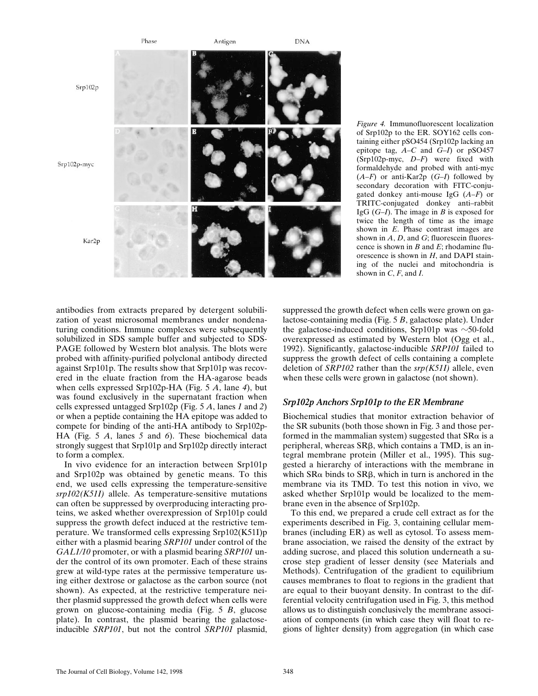

*Figure 4.* Immunofluorescent localization of Srp102p to the ER. SOY162 cells containing either pSO454 (Srp102p lacking an epitope tag, *A*–*C* and *G*–*I*) or pSO457 (Srp102p-myc, *D*–*F*) were fixed with formaldehyde and probed with anti-myc  $(A-F)$  or anti-Kar2p  $(G-I)$  followed by secondary decoration with FITC-conjugated donkey anti-mouse IgG (*A*–*F*) or TRITC-conjugated donkey anti–rabbit IgG (*G*–*I*). The image in *B* is exposed for twice the length of time as the image shown in *E*. Phase contrast images are shown in A, D, and G; fluorescein fluorescence is shown in *B* and *E*; rhodamine fluorescence is shown in *H*, and DAPI staining of the nuclei and mitochondria is shown in  $C$ ,  $F$ , and  $I$ .

antibodies from extracts prepared by detergent solubilization of yeast microsomal membranes under nondenaturing conditions. Immune complexes were subsequently solubilized in SDS sample buffer and subjected to SDS-PAGE followed by Western blot analysis. The blots were probed with affinity-purified polyclonal antibody directed against Srp101p. The results show that Srp101p was recovered in the eluate fraction from the HA-agarose beads when cells expressed Srp102p-HA (Fig. 5 *A*, lane *4*), but was found exclusively in the supernatant fraction when cells expressed untagged Srp102p (Fig. 5 *A*, lanes *1* and *2*) or when a peptide containing the HA epitope was added to compete for binding of the anti-HA antibody to Srp102p-HA (Fig. 5 *A*, lanes *5* and *6*). These biochemical data strongly suggest that Srp101p and Srp102p directly interact to form a complex.

In vivo evidence for an interaction between Srp101p and Srp102p was obtained by genetic means. To this end, we used cells expressing the temperature-sensitive *srp102(K51I)* allele. As temperature-sensitive mutations can often be suppressed by overproducing interacting proteins, we asked whether overexpression of Srp101p could suppress the growth defect induced at the restrictive temperature. We transformed cells expressing Srp102(K51I)p either with a plasmid bearing *SRP101* under control of the *GAL1/10* promoter, or with a plasmid bearing *SRP101* under the control of its own promoter. Each of these strains grew at wild-type rates at the permissive temperature using either dextrose or galactose as the carbon source (not shown). As expected, at the restrictive temperature neither plasmid suppressed the growth defect when cells were grown on glucose-containing media (Fig. 5 *B*, glucose plate). In contrast, the plasmid bearing the galactoseinducible *SRP101*, but not the control *SRP101* plasmid, suppressed the growth defect when cells were grown on galactose-containing media (Fig. 5 *B*, galactose plate). Under the galactose-induced conditions, Srp101p was  $\sim$ 50-fold overexpressed as estimated by Western blot (Ogg et al., 1992). Significantly, galactose-inducible *SRP101* failed to suppress the growth defect of cells containing a complete deletion of *SRP102* rather than the *srp(K51I)* allele, even when these cells were grown in galactose (not shown).

#### *Srp102p Anchors Srp101p to the ER Membrane*

Biochemical studies that monitor extraction behavior of the SR subunits (both those shown in Fig. 3 and those performed in the mammalian system) suggested that  $SR\alpha$  is a peripheral, whereas  $SR\beta$ , which contains a TMD, is an integral membrane protein (Miller et al., 1995). This suggested a hierarchy of interactions with the membrane in which  $SR\alpha$  binds to  $SR\beta$ , which in turn is anchored in the membrane via its TMD. To test this notion in vivo, we asked whether Srp101p would be localized to the membrane even in the absence of Srp102p.

To this end, we prepared a crude cell extract as for the experiments described in Fig. 3, containing cellular membranes (including ER) as well as cytosol. To assess membrane association, we raised the density of the extract by adding sucrose, and placed this solution underneath a sucrose step gradient of lesser density (see Materials and Methods). Centrifugation of the gradient to equilibrium causes membranes to float to regions in the gradient that are equal to their buoyant density. In contrast to the differential velocity centrifugation used in Fig. 3, this method allows us to distinguish conclusively the membrane association of components (in which case they will float to regions of lighter density) from aggregation (in which case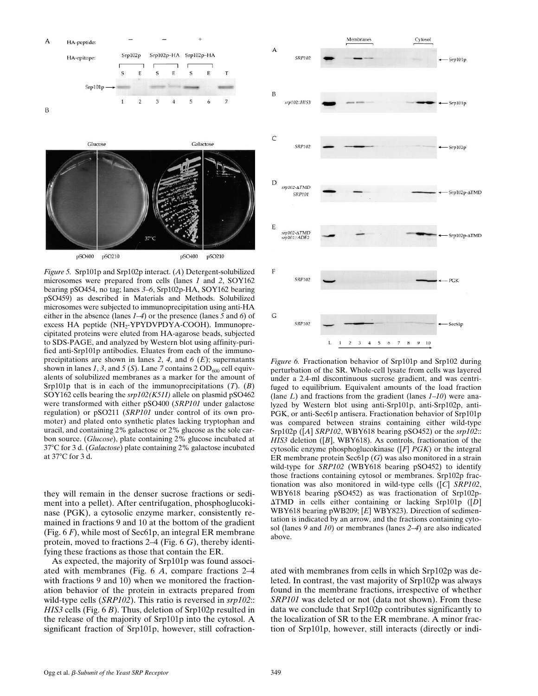



*Figure 5.* Srp101p and Srp102p interact. (*A*) Detergent-solubilized microsomes were prepared from cells (lanes *1* and *2*, SOY162 bearing pSO454, no tag; lanes *3*–*6*, Srp102p-HA, SOY162 bearing pSO459) as described in Materials and Methods. Solubilized microsomes were subjected to immunoprecipitation using anti-HA either in the absence (lanes *1*–*4*) or the presence (lanes *5* and *6*) of excess HA peptide (NH<sub>2</sub>-YPYDVPDYA-COOH). Immunoprecipitated proteins were eluted from HA-agarose beads, subjected to SDS-PAGE, and analyzed by Western blot using affinity-purified anti-Srp101p antibodies. Eluates from each of the immunoprecipitations are shown in lanes *2*, *4*, and *6* (*E*); supernatants shown in lanes 1, 3, and 5 (S). Lane 7 contains  $2 OD<sub>600</sub>$  cell equivalents of solubilized membranes as a marker for the amount of Srp101p that is in each of the immunoprecipitations (*T*). (*B*) SOY162 cells bearing the *srp102(K51I)* allele on plasmid pSO462 were transformed with either pSO400 (*SRP101* under galactose regulation) or pSO211 (*SRP101* under control of its own promoter) and plated onto synthetic plates lacking tryptophan and uracil, and containing 2% galactose or 2% glucose as the sole carbon source. (*Glucose*), plate containing 2% glucose incubated at 378C for 3 d. (*Galactose*) plate containing 2% galactose incubated at  $37^{\circ}$ C for 3 d.

they will remain in the denser sucrose fractions or sediment into a pellet). After centrifugation, phosphoglucokinase (PGK), a cytosolic enzyme marker, consistently remained in fractions 9 and 10 at the bottom of the gradient (Fig. 6 *F*), while most of Sec61p, an integral ER membrane protein, moved to fractions 2–4 (Fig. 6 *G*), thereby identifying these fractions as those that contain the ER.

As expected, the majority of Srp101p was found associated with membranes (Fig. 6 *A*, compare fractions 2–4 with fractions 9 and 10) when we monitored the fractionation behavior of the protein in extracts prepared from wild-type cells (*SRP102*). This ratio is reversed in *srp102*:: *HIS3* cells (Fig. 6 *B*). Thus, deletion of Srp102p resulted in the release of the majority of Srp101p into the cytosol. A significant fraction of Srp101p, however, still cofraction-



*Figure 6.* Fractionation behavior of Srp101p and Srp102 during perturbation of the SR. Whole-cell lysate from cells was layered under a 2.4-ml discontinuous sucrose gradient, and was centrifuged to equilibrium. Equivalent amounts of the load fraction (lane *L*) and fractions from the gradient (lanes *1*–*10*) were analyzed by Western blot using anti-Srp101p, anti-Srp102p, anti-PGK, or anti-Sec61p antisera. Fractionation behavior of Srp101p was compared between strains containing either wild-type Srp102p ([*A*] *SRP102*, WBY618 bearing pSO452) or the *srp102*:: *HIS3* deletion ([*B*], WBY618). As controls, fractionation of the cytosolic enzyme phosphoglucokinase ([*F*] *PGK*) or the integral ER membrane protein Sec61p (*G*) was also monitored in a strain wild-type for *SRP102* (WBY618 bearing pSO452) to identify those fractions containing cytosol or membranes. Srp102p fractionation was also monitored in wild-type cells ([*C*] *SRP102*, WBY618 bearing pSO452) as was fractionation of Srp102p-DTMD in cells either containing or lacking Srp101p ([*D*] WBY618 bearing pWB209; [*E*] WBY823). Direction of sedimentation is indicated by an arrow, and the fractions containing cytosol (lanes *9* and *10*) or membranes (lanes *2*–*4*) are also indicated above.

ated with membranes from cells in which Srp102p was deleted. In contrast, the vast majority of Srp102p was always found in the membrane fractions, irrespective of whether *SRP101* was deleted or not (data not shown). From these data we conclude that Srp102p contributes significantly to the localization of SR to the ER membrane. A minor fraction of Srp101p, however, still interacts (directly or indi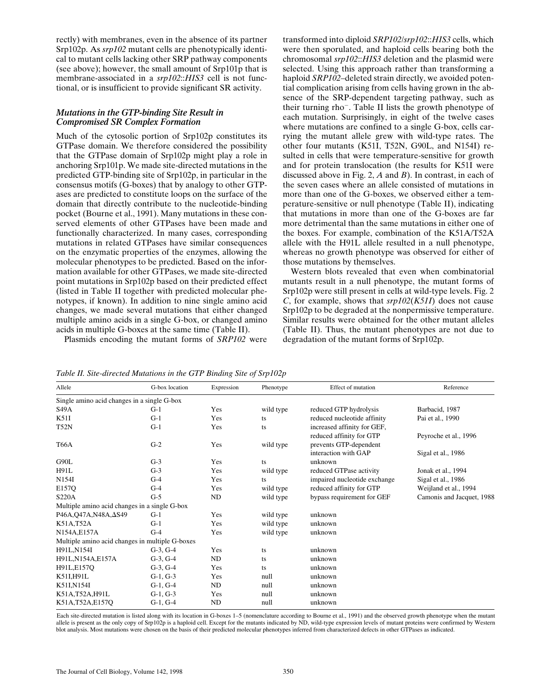rectly) with membranes, even in the absence of its partner Srp102p. As *srp102* mutant cells are phenotypically identical to mutant cells lacking other SRP pathway components (see above); however, the small amount of Srp101p that is membrane-associated in a *srp102*::*HIS3* cell is not functional, or is insufficient to provide significant SR activity.

## *Mutations in the GTP-binding Site Result in Compromised SR Complex Formation*

Much of the cytosolic portion of Srp102p constitutes its GTPase domain. We therefore considered the possibility that the GTPase domain of Srp102p might play a role in anchoring Srp101p. We made site-directed mutations in the predicted GTP-binding site of Srp102p, in particular in the consensus motifs (G-boxes) that by analogy to other GTPases are predicted to constitute loops on the surface of the domain that directly contribute to the nucleotide-binding pocket (Bourne et al., 1991). Many mutations in these conserved elements of other GTPases have been made and functionally characterized. In many cases, corresponding mutations in related GTPases have similar consequences on the enzymatic properties of the enzymes, allowing the molecular phenotypes to be predicted. Based on the information available for other GTPases, we made site-directed point mutations in Srp102p based on their predicted effect (listed in Table II together with predicted molecular phenotypes, if known). In addition to nine single amino acid changes, we made several mutations that either changed multiple amino acids in a single G-box, or changed amino acids in multiple G-boxes at the same time (Table II).

Plasmids encoding the mutant forms of *SRP102* were

transformed into diploid *SRP102*/*srp102*::*HIS3* cells, which were then sporulated, and haploid cells bearing both the chromosomal *srp102*::*HIS3* deletion and the plasmid were selected. Using this approach rather than transforming a haploid *SRP102*–deleted strain directly, we avoided potential complication arising from cells having grown in the absence of the SRP-dependent targeting pathway, such as their turning rho $\overline{\phantom{a}}$ . Table II lists the growth phenotype of each mutation. Surprisingly, in eight of the twelve cases where mutations are confined to a single G-box, cells carrying the mutant allele grew with wild-type rates. The other four mutants (K51I, T52N, G90L, and N154I) resulted in cells that were temperature-sensitive for growth and for protein translocation (the results for K51I were discussed above in Fig. 2, *A* and *B*). In contrast, in each of the seven cases where an allele consisted of mutations in more than one of the G-boxes, we observed either a temperature-sensitive or null phenotype (Table II), indicating that mutations in more than one of the G-boxes are far more detrimental than the same mutations in either one of the boxes. For example, combination of the K51A/T52A allele with the H91L allele resulted in a null phenotype, whereas no growth phenotype was observed for either of those mutations by themselves.

Western blots revealed that even when combinatorial mutants result in a null phenotype, the mutant forms of Srp102p were still present in cells at wild-type levels. Fig. 2 *C*, for example, shows that *srp102*(*K51I*) does not cause Srp102p to be degraded at the nonpermissive temperature. Similar results were obtained for the other mutant alleles (Table II). Thus, the mutant phenotypes are not due to degradation of the mutant forms of Srp102p.

| Allele                                          | G-box location | Expression | Phenotype | Effect of mutation           | Reference                 |  |  |
|-------------------------------------------------|----------------|------------|-----------|------------------------------|---------------------------|--|--|
| Single amino acid changes in a single G-box     |                |            |           |                              |                           |  |  |
| <b>S49A</b>                                     | $G-1$          | Yes        | wild type | reduced GTP hydrolysis       | Barbacid, 1987            |  |  |
| K51I                                            | $G-1$          | Yes        | ts        | reduced nucleotide affinity  | Pai et al., 1990          |  |  |
| <b>T52N</b>                                     | $G-1$          | Yes        | ts        | increased affinity for GEF,  |                           |  |  |
|                                                 |                |            |           | reduced affinity for GTP     | Peyroche et al., 1996     |  |  |
| <b>T66A</b>                                     | $G-2$          | Yes        | wild type | prevents GTP-dependent       |                           |  |  |
|                                                 |                |            |           | interaction with GAP         | Sigal et al., 1986        |  |  |
| G90L                                            | $G-3$          | Yes        | ts        | unknown                      |                           |  |  |
| <b>H91L</b>                                     | $G-3$          | Yes        | wild type | reduced GTPase activity      | Jonak et al., 1994        |  |  |
| N154I                                           | $G-4$          | Yes        | ts        | impaired nucleotide exchange | Sigal et al., 1986        |  |  |
| E157Q                                           | $G-4$          | Yes        | wild type | reduced affinity for GTP     | Weijland et al., 1994     |  |  |
| <b>S220A</b>                                    | $G-5$          | ND         | wild type | bypass requirement for GEF   | Camonis and Jacquet, 1988 |  |  |
| Multiple amino acid changes in a single G-box   |                |            |           |                              |                           |  |  |
| P46A, Q47A, N48A, ΔS49                          | $G-1$          | Yes        | wild type | unknown                      |                           |  |  |
| K51A,T52A                                       | $G-1$          | Yes        | wild type | unknown                      |                           |  |  |
| N154A.E157A                                     | $G-4$          | Yes        | wild type | unknown                      |                           |  |  |
| Multiple amino acid changes in multiple G-boxes |                |            |           |                              |                           |  |  |
| H91L,N154I                                      | $G-3, G-4$     | Yes        | ts        | unknown                      |                           |  |  |
| H91L,N154A,E157A                                | $G-3, G-4$     | ND         | ts        | unknown                      |                           |  |  |
| H91L,E157Q                                      | $G-3, G-4$     | Yes        | ts        | unknown                      |                           |  |  |
| K51I,H91L                                       | $G-1, G-3$     | Yes        | null      | unknown                      |                           |  |  |
| K51I,N154I                                      | $G-1, G-4$     | ND         | null      | unknown                      |                           |  |  |
| K51A, T52A, H91L                                | $G-1, G-3$     | Yes        | null      | unknown                      |                           |  |  |
| K51A, T52A, E157Q                               | $G-1, G-4$     | ND         | null      | unknown                      |                           |  |  |

*Table II. Site-directed Mutations in the GTP Binding Site of Srp102p*

Each site-directed mutation is listed along with its location in G-boxes 1–5 (nomenclature according to Bourne et al., 1991) and the observed growth phenotype when the mutant allele is present as the only copy of Srp102p is a haploid cell. Except for the mutants indicated by ND, wild-type expression levels of mutant proteins were confirmed by Western blot analysis. Most mutations were chosen on the basis of their predicted molecular phenotypes inferred from characterized defects in other GTPases as indicated.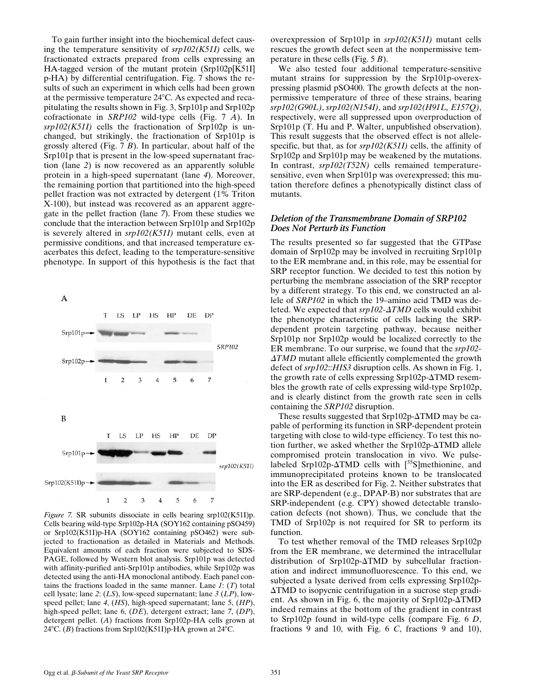To gain further insight into the biochemical defect causing the temperature sensitivity of *srp102(K51I)* cells, we fractionated extracts prepared from cells expressing an HA-tagged version of the mutant protein (Srp102p[K51I] p-HA) by differential centrifugation. Fig. 7 shows the results of such an experiment in which cells had been grown at the permissive temperature  $24^{\circ}$ C. As expected and recapitulating the results shown in Fig. 3, Srp101p and Srp102p cofractionate in *SRP102* wild-type cells (Fig. 7 *A*). In *srp102(K51I)* cells the fractionation of Srp102p is unchanged, but strikingly, the fractionation of Srp101p is grossly altered (Fig. 7 *B*). In particular, about half of the Srp101p that is present in the low-speed supernatant fraction (lane *2*) is now recovered as an apparently soluble protein in a high-speed supernatant (lane *4*). Moreover, the remaining portion that partitioned into the high-speed pellet fraction was not extracted by detergent (1% Triton X-100), but instead was recovered as an apparent aggregate in the pellet fraction (lane *7*). From these studies we conclude that the interaction between Srp101p and Srp102p is severely altered in *srp102(K51I)* mutant cells, even at permissive conditions, and that increased temperature exacerbates this defect, leading to the temperature-sensitive phenotype. In support of this hypothesis is the fact that

**SRP102**  $Srp102p \overline{7}$  $\mathbf{1}$  $\sqrt{2}$ 3  $\overline{4}$ 5 6 B LS  $LP$  $_{\rm HS}$  $HP$  $\rm DE$ **DP** T Srp101p srp102(K51I) Srp102(K51I)p- $\overline{7}$  $\overline{2}$ 3  $\overline{4}$ 5 6

A

 $Srp101p$ 

T

 $LS$   $LP$ 

HS

 $HP$ 

DE DP

*Figure 7.* SR subunits dissociate in cells bearing srp102(K51I)p. Cells bearing wild-type Srp102p-HA (SOY162 containing pSO459) or Srp102(K51I)p-HA (SOY162 containing pSO462) were subjected to fractionation as detailed in Materials and Methods. Equivalent amounts of each fraction were subjected to SDS-PAGE, followed by Western blot analysis. Srp101p was detected with affinity-purified anti-Srp101p antibodies, while Srp102p was detected using the anti-HA monoclonal antibody. Each panel contains the fractions loaded in the same manner. Lane *1*: (*T*) total cell lysate; lane *2*: (*LS*), low-speed supernatant; lane *3* (*LP*), lowspeed pellet; lane *4*, (*HS*), high-speed supernatant; lane 5, (*HP*), high-speed pellet; lane 6, (*DE*), detergent extract; lane *7*, (*DP*), detergent pellet. (*A*) fractions from Srp102p-HA cells grown at 24°C. (*B*) fractions from Srp102(K51I)p-HA grown at 24°C.

overexpression of Srp101p in *srp102(K51I)* mutant cells rescues the growth defect seen at the nonpermissive temperature in these cells (Fig. 5 *B*).

We also tested four additional temperature-sensitive mutant strains for suppression by the Srp101p-overexpressing plasmid pSO400. The growth defects at the nonpermissive temperature of three of these strains, bearing *srp102(G90L)*, *srp102(N154I)*, and *srp102(H91L, E157Q)*, respectively, were all suppressed upon overproduction of Srp101p (T. Hu and P. Walter, unpublished observation). This result suggests that the observed effect is not allelespecific, but that, as for *srp102(K51I)* cells, the affinity of Srp102p and Srp101p may be weakened by the mutations. In contrast, *srp102(T52N)* cells remained temperaturesensitive, even when Srp101p was overexpressed; this mutation therefore defines a phenotypically distinct class of mutants.

#### *Deletion of the Transmembrane Domain of SRP102 Does Not Perturb its Function*

The results presented so far suggested that the GTPase domain of Srp102p may be involved in recruiting Srp101p to the ER membrane and, in this role, may be essential for SRP receptor function. We decided to test this notion by perturbing the membrane association of the SRP receptor by a different strategy. To this end, we constructed an allele of *SRP102* in which the 19–amino acid TMD was deleted. We expected that  $srp102-ATMD$  cells would exhibit the phenotype characteristic of cells lacking the SRPdependent protein targeting pathway, because neither Srp101p nor Srp102p would be localized correctly to the ER membrane. To our surprise, we found that the *srp102-* **ATMD** mutant allele efficiently complemented the growth defect of *srp102*::*HIS3* disruption cells. As shown in Fig. 1, the growth rate of cells expressing  $Srp102p-\Delta TMD$  resembles the growth rate of cells expressing wild-type Srp102p, and is clearly distinct from the growth rate seen in cells containing the *SRP102* disruption.

These results suggested that  $Srp102p-\Delta TMD$  may be capable of performing its function in SRP-dependent protein targeting with close to wild-type efficiency. To test this notion further, we asked whether the  $Srp102p-\Delta TMD$  allele compromised protein translocation in vivo. We pulselabeled Srp102p- $\triangle$ TMD cells with [<sup>35</sup>S]methionine, and immunoprecipitated proteins known to be translocated into the ER as described for Fig. 2. Neither substrates that are SRP-dependent (e.g., DPAP-B) nor substrates that are SRP-independent (e.g. CPY) showed detectable translocation defects (not shown). Thus, we conclude that the TMD of Srp102p is not required for SR to perform its function.

To test whether removal of the TMD releases Srp102p from the ER membrane, we determined the intracellular distribution of Srp102p- $\triangle TMD$  by subcellular fractionation and indirect immunofluorescence. To this end, we subjected a lysate derived from cells expressing Srp102p- $\triangle TMD$  to isopycnic centrifugation in a sucrose step gradient. As shown in Fig. 6, the majority of  $Srp102p-ATMD$ indeed remains at the bottom of the gradient in contrast to Srp102p found in wild-type cells (compare Fig. 6 *D*, fractions 9 and 10, with Fig. 6 *C*, fractions 9 and 10),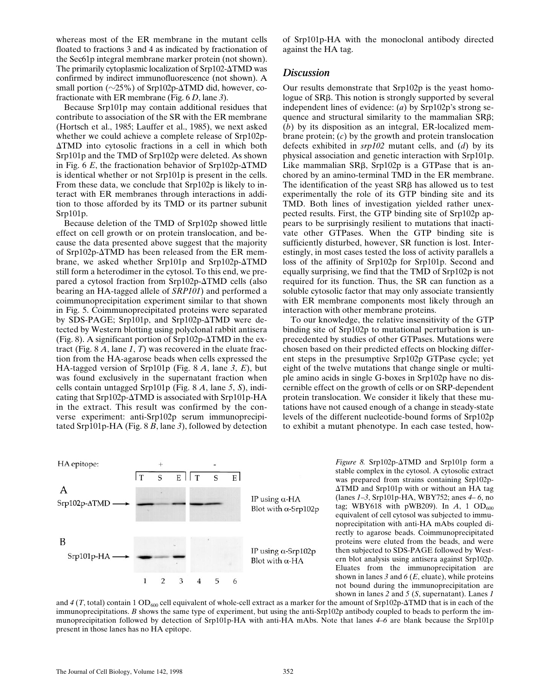whereas most of the ER membrane in the mutant cells floated to fractions 3 and 4 as indicated by fractionation of the Sec61p integral membrane marker protein (not shown). The primarily cytoplasmic localization of  $Srp102-ATMD$  was confirmed by indirect immunofluorescence (not shown). A small portion ( $\sim$ 25%) of Srp102p- $\triangle$ TMD did, however, cofractionate with ER membrane (Fig. 6 *D*, lane *3*).

Because Srp101p may contain additional residues that contribute to association of the SR with the ER membrane (Hortsch et al., 1985; Lauffer et al., 1985), we next asked whether we could achieve a complete release of Srp102p- $\triangle TMD$  into cytosolic fractions in a cell in which both Srp101p and the TMD of Srp102p were deleted. As shown in Fig. 6  $E$ , the fractionation behavior of Srp102p- $\Delta$ TMD is identical whether or not Srp101p is present in the cells. From these data, we conclude that Srp102p is likely to interact with ER membranes through interactions in addition to those afforded by its TMD or its partner subunit Srp101p.

Because deletion of the TMD of Srp102p showed little effect on cell growth or on protein translocation, and because the data presented above suggest that the majority of Srp102p- $\Delta$ TMD has been released from the ER membrane, we asked whether Srp101p and Srp102p- $\triangle$ TMD still form a heterodimer in the cytosol. To this end, we prepared a cytosol fraction from Srp102p- $\Delta TMD$  cells (also bearing an HA-tagged allele of *SRP101*) and performed a coimmunoprecipitation experiment similar to that shown in Fig. 5. Coimmunoprecipitated proteins were separated by SDS-PAGE; Srp101p, and Srp102p- $\triangle$ TMD were detected by Western blotting using polyclonal rabbit antisera (Fig. 8). A significant portion of Srp102p- $\Delta TMD$  in the extract (Fig. 8 *A*, lane *1*, *T*) was recovered in the eluate fraction from the HA-agarose beads when cells expressed the HA-tagged version of Srp101p (Fig. 8 *A*, lane *3*, *E*), but was found exclusively in the supernatant fraction when cells contain untagged Srp101p (Fig. 8 *A*, lane *5*, *S*), indicating that Srp102p- $\Delta TMD$  is associated with Srp101p-HA in the extract. This result was confirmed by the converse experiment: anti-Srp102p serum immunoprecipitated Srp101p-HA (Fig. 8 *B*, lane *3*), followed by detection

of Srp101p-HA with the monoclonal antibody directed against the HA tag.

## *Discussion*

Our results demonstrate that Srp102p is the yeast homologue of SRβ. This notion is strongly supported by several independent lines of evidence: (*a*) by Srp102p's strong sequence and structural similarity to the mammalian SRb; (*b*) by its disposition as an integral, ER-localized membrane protein; (*c*) by the growth and protein translocation defects exhibited in *srp102* mutant cells, and (*d*) by its physical association and genetic interaction with Srp101p. Like mammalian  $SR\beta$ , Srp102p is a GTPase that is anchored by an amino-terminal TMD in the ER membrane. The identification of the yeast  $S$ R $\beta$  has allowed us to test experimentally the role of its GTP binding site and its TMD. Both lines of investigation yielded rather unexpected results. First, the GTP binding site of Srp102p appears to be surprisingly resilient to mutations that inactivate other GTPases. When the GTP binding site is sufficiently disturbed, however, SR function is lost. Interestingly, in most cases tested the loss of activity parallels a loss of the affinity of Srp102p for Srp101p. Second and equally surprising, we find that the TMD of Srp102p is not required for its function. Thus, the SR can function as a soluble cytosolic factor that may only associate transiently with ER membrane components most likely through an interaction with other membrane proteins.

To our knowledge, the relative insensitivity of the GTP binding site of Srp102p to mutational perturbation is unprecedented by studies of other GTPases. Mutations were chosen based on their predicted effects on blocking different steps in the presumptive Srp102p GTPase cycle; yet eight of the twelve mutations that change single or multiple amino acids in single G-boxes in Srp102p have no discernible effect on the growth of cells or on SRP-dependent protein translocation. We consider it likely that these mutations have not caused enough of a change in steady-state levels of the different nucleotide-bound forms of Srp102p to exhibit a mutant phenotype. In each case tested, how-



*Figure 8.* Srp102p- $\triangle$ TMD and Srp101p form a stable complex in the cytosol. A cytosolic extract was prepared from strains containing Srp102p- $\triangle TMD$  and Srp101p with or without an HA tag (lanes *1*–*3*, Srp101p-HA, WBY752; anes *4*– *6*, no tag; WBY618 with pWB209). In  $A$ , 1 OD<sub>600</sub> equivalent of cell cytosol was subjected to immunoprecipitation with anti-HA mAbs coupled directly to agarose beads. Coimmunoprecipitated proteins were eluted from the beads, and were then subjected to SDS-PAGE followed by Western blot analysis using antisera against Srp102p. Eluates from the immunoprecipitation are shown in lanes *3* and *6* (*E*, eluate), while proteins not bound during the immunoprecipitation are shown in lanes *2* and *5* (*S*, supernatant). Lanes *1*

and  $4$  (*T*, total) contain 1 OD<sub>600</sub> cell equivalent of whole-cell extract as a marker for the amount of Srp102p- $\Delta TMD$  that is in each of the immunoprecipitations. *B* shows the same type of experiment, but using the anti-Srp102p antibody coupled to beads to perform the immunoprecipitation followed by detection of Srp101p-HA with anti-HA mAbs. Note that lanes *4*–*6* are blank because the Srp101p present in those lanes has no HA epitope.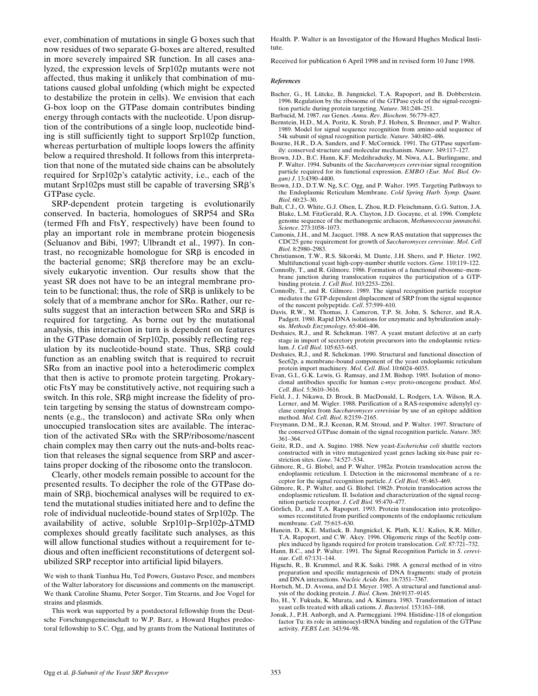ever, combination of mutations in single G boxes such that now residues of two separate G-boxes are altered, resulted in more severely impaired SR function. In all cases analyzed, the expression levels of Srp102p mutants were not affected, thus making it unlikely that combination of mutations caused global unfolding (which might be expected to destabilize the protein in cells). We envision that each G-box loop on the GTPase domain contributes binding energy through contacts with the nucleotide. Upon disruption of the contributions of a single loop, nucleotide binding is still sufficiently tight to support Srp102p function, whereas perturbation of multiple loops lowers the affinity below a required threshold. It follows from this interpretation that none of the mutated side chains can be absolutely required for Srp102p's catalytic activity, i.e., each of the mutant Srp102ps must still be capable of traversing SRB's GTPase cycle.

SRP-dependent protein targeting is evolutionarily conserved. In bacteria, homologues of SRP54 and SRa (termed Ffh and FtsY, respectively) have been found to play an important role in membrane protein biogenesis (Seluanov and Bibi, 1997; Ulbrandt et al., 1997). In contrast, no recognizable homologue for  $SR\beta$  is encoded in the bacterial genome;  $SR\beta$  therefore may be an exclusively eukaryotic invention. Our results show that the yeast SR does not have to be an integral membrane protein to be functional; thus, the role of  $SR\beta$  is unlikely to be solely that of a membrane anchor for  $S R\alpha$ . Rather, our results suggest that an interaction between  $SR\alpha$  and  $SR\beta$  is required for targeting. As borne out by the mutational analysis, this interaction in turn is dependent on features in the GTPase domain of Srp102p, possibly reflecting regulation by its nucleotide-bound state. Thus,  $SR\beta$  could function as an enabling switch that is required to recruit  $S$ R $\alpha$  from an inactive pool into a heterodimeric complex that then is active to promote protein targeting. Prokaryotic FtsY may be constitutively active, not requiring such a switch. In this role,  $SR\beta$  might increase the fidelity of protein targeting by sensing the status of downstream components (e.g., the translocon) and activate  $SR\alpha$  only when unoccupied translocation sites are available. The interaction of the activated  $SR\alpha$  with the SRP/ribosome/nascent chain complex may then carry out the nuts-and-bolts reaction that releases the signal sequence from SRP and ascertains proper docking of the ribosome onto the translocon.

Clearly, other models remain possible to account for the presented results. To decipher the role of the GTPase domain of SRB, biochemical analyses will be required to extend the mutational studies initiated here and to define the role of individual nucleotide-bound states of Srp102p. The availability of active, soluble Srp101p–Srp102p- $\triangle TMD$ complexes should greatly facilitate such analyses, as this will allow functional studies without a requirement for tedious and often inefficient reconstitutions of detergent solubilized SRP receptor into artificial lipid bilayers.

We wish to thank Tianhua Hu, Ted Powers, Gustavo Pesce, and members of the Walter laboratory for discussions and comments on the manuscript. We thank Caroline Shamu, Peter Sorger, Tim Stearns, and Joe Vogel for strains and plasmids.

This work was supported by a postdoctoral fellowship from the Deutsche Forschungsgemeinschaft to W.P. Barz, a Howard Hughes predoctoral fellowship to S.C. Ogg, and by grants from the National Institutes of Health. P. Walter is an Investigator of the Howard Hughes Medical Institute.

Received for publication 6 April 1998 and in revised form 10 June 1998.

#### *References*

- Bacher, G., H. Lütcke, B. Jungnickel, T.A. Rapoport, and B. Dobberstein. 1996. Regulation by the ribosome of the GTPase cycle of the signal-recognition particle during protein targeting. *Nature*. 381:248–251.
- Barbacid, M. 1987. *ras* Genes. *Annu*. *Rev*. *Biochem*. 56:779–827.
- Bernstein, H.D., M.A. Poritz, K. Strub, P.J. Hoben, S. Brenner, and P. Walter. 1989. Model for signal sequence recognition from amino-acid sequence of 54k subunit of signal recognition particle. *Nature*. 340:482–486.
- Bourne, H.R., D.A. Sanders, and F. McCormick. 1991. The GTPase superfamily: conserved structure and molecular mechanism. *Nature*. 349:117–127.
- Brown, J.D., B.C. Hann, K.F. Medzihradszky, M. Niwa, A.L. Burlingame, and P. Walter. 1994. Subunits of the *Saccharomyces cerevisiae* signal recognition particle required for its functional expression. *EMBO (Eur. Mol. Biol. Organ) J*. 13:4390–4400.
- Brown, J.D., D.T.W. Ng, S.C. Ogg, and P. Walter. 1995. Targeting Pathways to the Endoplasmic Reticulum Membrane. *Cold Spring Harb. Symp. Quant. Biol*. 60:23–30.
- Bult, C.J., O. White, G.J. Olsen, L. Zhou, R.D. Fleischmann, G.G. Sutton, J.A. Blake, L.M. FitzGerald, R.A. Clayton, J.D. Gocayne, et al. 1996. Complete genome sequence of the methanogenic archaeon, *Methanococcus jannaschii*. *Science*. 273:1058–1073.
- Camonis, J.H., and M. Jacquet. 1988. A new RAS mutation that suppresses the CDC25 gene requirement for growth of *Saccharomyces cerevisiae*. *Mol*. *Cell Biol*. 8:2980–2983.
- Christianson, T.W., R.S. Sikorski, M. Dante, J.H. Shero, and P. Hieter. 1992. Multifunctional yeast high-copy-number shuttle vectors. *Gene*. 110:119–122.
- Connolly, T., and R. Gilmore. 1986. Formation of a functional ribosome–membrane junction during translocation requires the participation of a GTPbinding protein. *J*. *Cell Biol*. 103:2253–2261.
- Connolly, T., and R. Gilmore. 1989. The signal recognition particle receptor mediates the GTP-dependent displacement of SRP from the signal sequence of the nascent polypeptide. *Cell*. 57:599–610.
- Davis, R.W., M. Thomas, J. Cameron, T.P. St. John, S. Scherer, and R.A. Padgett. 1980. Rapid DNA isolations for enzymatic and hybridization analysis. *Methods Enzymology*. 65:404–406.
- Deshaies, R.J., and R. Schekman. 1987. A yeast mutant defective at an early stage in import of secretory protein precursors into the endoplasmic reticulum. *J*. *Cell Biol*. 105:633–645.
- Deshaies, R.J., and R. Schekman. 1990. Structural and functional dissection of Sec62p, a membrane-bound component of the yeast endoplasmic reticulum protein import machinery. *Mol*. *Cell*. *Biol*. 10:6024–6035.
- Evan, G.I., G.K. Lewis, G. Ramsay, and J.M. Bishop. 1985. Isolation of monoclonal antibodies specific for human c-*myc* proto-oncogene product. *Mol*. *Cell*. *Biol*. 5:3610–3616.
- Field, J., J. Nikawa, D. Broek, B. MacDonald, L. Rodgers, I.A. Wilson, R.A. Lerner, and M. Wigler. 1988. Purification of a RAS-responsive adenylyl cyclase complex from *Saccharomyces cerevisiae* by use of an epitope addition method. *Mol*. *Cell*. *Biol*. 8:2159–2165.
- Freymann, D.M., R.J. Keenan, R.M. Stroud, and P. Walter. 1997. Structure of the conserved GTPase domain of the signal recognition particle. *Nature*. 385: 361–364.
- Geitz, R.D., and A. Sugino. 1988. New yeast-*Escherichia coli* shuttle vectors constructed with in vitro mutagenized yeast genes lacking six-base pair restriction sites. *Gene*. 74:527–534.
- Gilmore, R., G. Blobel, and P. Walter. 1982*a*. Protein translocation across the endoplasmic reticulum. I. Detection in the microsomal membrane of a receptor for the signal recognition particle. *J*. *Cell Biol*. 95:463–469.
- Gilmore, R., P. Walter, and G. Blobel. 1982*b*. Protein translocation across the endoplasmic reticulum. II. Isolation and characterization of the signal recognition particle receptor. *J*. *Cell Biol*. 95:470–477.
- Görlich, D., and T.A. Rapoport. 1993. Protein translocation into proteoliposomes reconstituted from purified components of the endoplasmic reticulum membrane. *Cell*. 75:615–630.
- Hanein, D., K.E. Matlack, B. Jungnickel, K. Plath, K.U. Kalies, K.R. Miller, T.A. Rapoport, and C.W. Akey. 1996. Oligomeric rings of the Sec61p complex induced by ligands required for protein translocation. *Cell*. 87:721–732.
- Hann, B.C., and P. Walter. 1991. The Signal Recognition Particle in *S*. *cerevisiae*. *Cell*. 67:131–144.
- Higuchi, R., B. Krummel, and R.K. Saiki. 1988. A general method of in vitro preparation and specific mutagenesis of DNA fragments: study of protein and DNA interactions. *Nucleic Acids Res*. 16:7351–7367.
- Hortsch, M., D. Avossa, and D.I. Meyer. 1985. A structural and functional analysis of the docking protein. *J*. *Biol*. *Chem*. 260:9137–9145.
- Ito, H., Y. Fukuda, K. Murata, and A. Kimura. 1983. Transformation of intact yeast cells treated with alkali cations. *J*. *Bacteriol*. 153:163–168.
- Jonak, J., P.H. Anborgh, and A. Parmeggiani. 1994. Histidine-118 of elongation factor Tu: its role in aminoacyl-tRNA binding and regulation of the GTPase activity. *FEBS Lett*. 343:94–98.